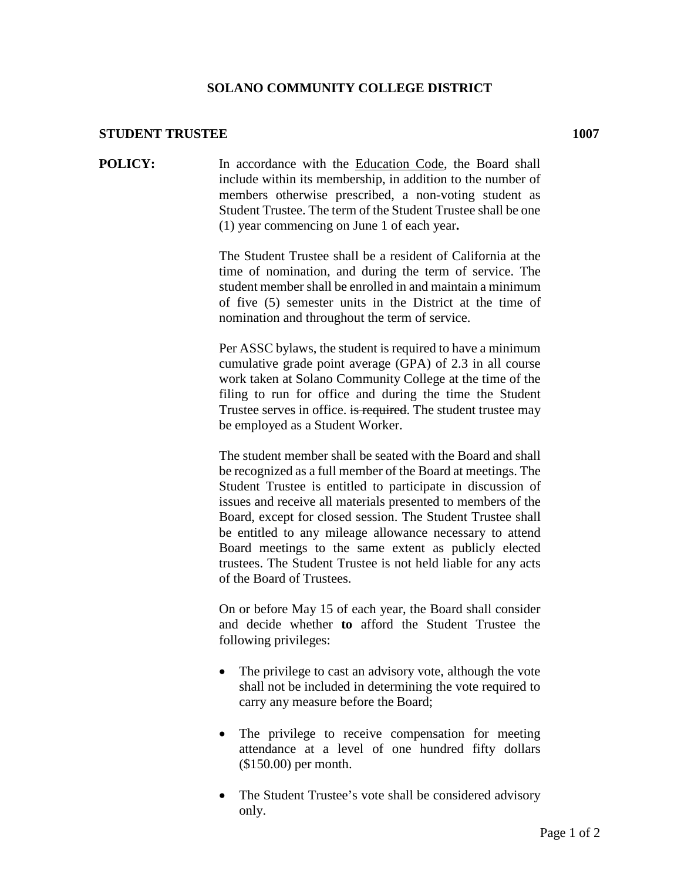## **SOLANO COMMUNITY COLLEGE DISTRICT**

## **STUDENT TRUSTEE 1007**

**POLICY:** In accordance with the Education Code, the Board shall include within its membership, in addition to the number of members otherwise prescribed, a non-voting student as Student Trustee. The term of the Student Trustee shall be one (1) year commencing on June 1 of each year**.**

> The Student Trustee shall be a resident of California at the time of nomination, and during the term of service. The student member shall be enrolled in and maintain a minimum of five (5) semester units in the District at the time of nomination and throughout the term of service.

> Per ASSC bylaws, the student is required to have a minimum cumulative grade point average (GPA) of 2.3 in all course work taken at Solano Community College at the time of the filing to run for office and during the time the Student Trustee serves in office. is required. The student trustee may be employed as a Student Worker.

> The student member shall be seated with the Board and shall be recognized as a full member of the Board at meetings. The Student Trustee is entitled to participate in discussion of issues and receive all materials presented to members of the Board, except for closed session. The Student Trustee shall be entitled to any mileage allowance necessary to attend Board meetings to the same extent as publicly elected trustees. The Student Trustee is not held liable for any acts of the Board of Trustees.

> On or before May 15 of each year, the Board shall consider and decide whether **to** afford the Student Trustee the following privileges:

- The privilege to cast an advisory vote, although the vote shall not be included in determining the vote required to carry any measure before the Board;
- The privilege to receive compensation for meeting attendance at a level of one hundred fifty dollars (\$150.00) per month.
- The Student Trustee's vote shall be considered advisory only.